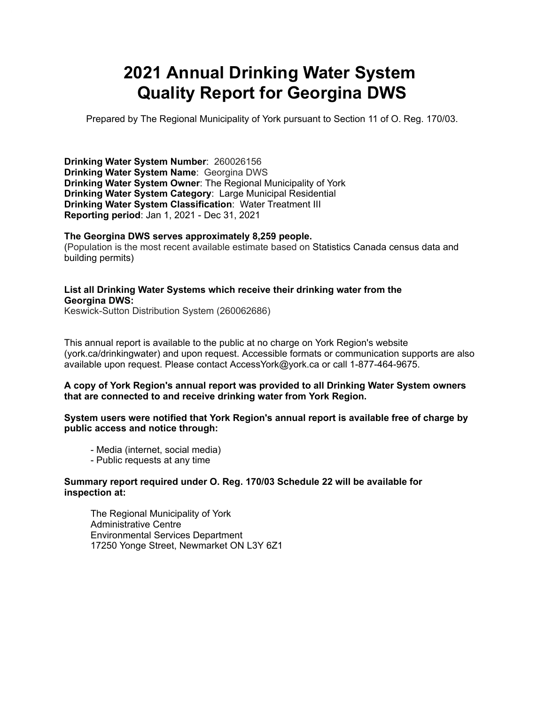# **2021 Annual Drinking Water System Quality Report for Georgina DWS**

Prepared by The Regional Municipality of York pursuant to Section 11 of O. Reg. 170/03.

 **Drinking Water System Number**: 260026156  **Drinking Water System Name**: Georgina DWS  **Drinking Water System Owner**: The Regional Municipality of York  **Drinking Water System Category**: Large Municipal Residential  **Drinking Water System Classification**: Water Treatment III **Reporting period**: Jan 1, 2021 - Dec 31, 2021

#### **The Georgina DWS serves approximately 8,259 people.**

 (Population is the most recent available estimate based on Statistics Canada census data and building permits)

#### **List all Drinking Water Systems which receive their drinking water from the Georgina DWS:**

Keswick-Sutton Distribution System (260062686)

 This annual report is available to the public at no charge on York Region's website (york.ca/drinkingwater) and upon request. Accessible formats or communication supports are also available upon request. Please contact [AccessYork@york.ca](mailto:AccessYork@york.ca) or call 1-877-464-9675.

#### **A copy of York Region's annual report was provided to all Drinking Water System owners that are connected to and receive drinking water from York Region.**

#### **System users were notified that York Region's annual report is available free of charge by public access and notice through:**

- Media (internet, social media)
- Public requests at any time

#### **Summary report required under O. Reg. 170/03 Schedule 22 will be available for inspection at:**

The Regional Municipality of York Administrative Centre Environmental Services Department 17250 Yonge Street, Newmarket ON L3Y 6Z1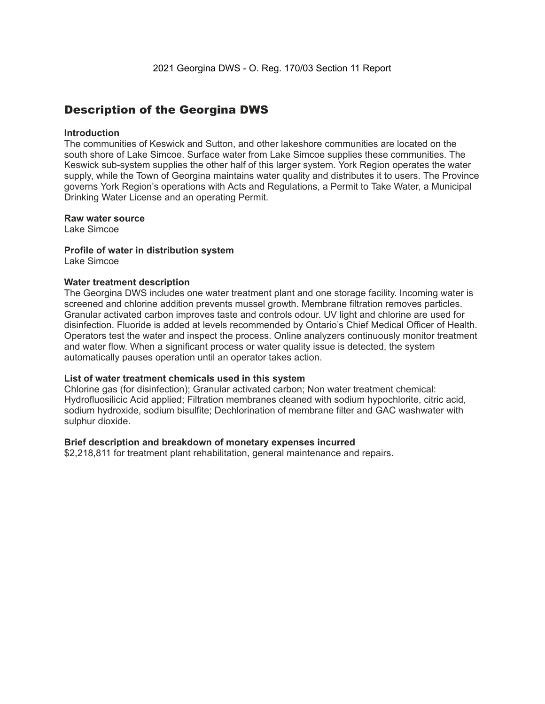### Description of the Georgina DWS

#### **Introduction**

 The communities of Keswick and Sutton, and other lakeshore communities are located on the south shore of Lake Simcoe. Surface water from Lake Simcoe supplies these communities. The Keswick sub-system supplies the other half of this larger system. York Region operates the water supply, while the Town of Georgina maintains water quality and distributes it to users. The Province governs York Region's operations with Acts and Regulations, a Permit to Take Water, a Municipal Drinking Water License and an operating Permit.

#### **Raw water source**

Lake Simcoe

#### **Profile of water in distribution system**

Lake Simcoe

#### **Water treatment description**

 The Georgina DWS includes one water treatment plant and one storage facility. Incoming water is screened and chlorine addition prevents mussel growth. Membrane filtration removes particles. Granular activated carbon improves taste and controls odour. UV light and chlorine are used for disinfection. Fluoride is added at levels recommended by Ontario's Chief Medical Officer of Health. Operators test the water and inspect the process. Online analyzers continuously monitor treatment and water flow. When a significant process or water quality issue is detected, the system automatically pauses operation until an operator takes action.

#### **List of water treatment chemicals used in this system**

 Chlorine gas (for disinfection); Granular activated carbon; Non water treatment chemical: Hydrofluosilicic Acid applied; Filtration membranes cleaned with sodium hypochlorite, citric acid, sodium hydroxide, sodium bisulfite; Dechlorination of membrane filter and GAC washwater with sulphur dioxide.

#### **Brief description and breakdown of monetary expenses incurred**

\$2,218,811 for treatment plant rehabilitation, general maintenance and repairs.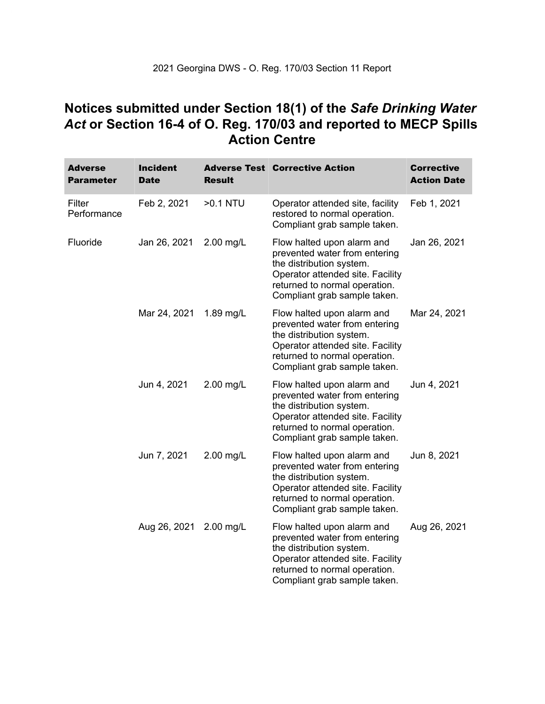### **Notices submitted under Section 18(1) of the** *Safe Drinking Water*  *Act* **or Section 16-4 of O. Reg. 170/03 and reported to MECP Spills Action Centre**

| Adverse<br><b>Parameter</b> | <b>Incident</b><br><b>Date</b> | <b>Result</b> | <b>Adverse Test Corrective Action</b>                                                                                                                                                        | <b>Corrective</b><br><b>Action Date</b> |
|-----------------------------|--------------------------------|---------------|----------------------------------------------------------------------------------------------------------------------------------------------------------------------------------------------|-----------------------------------------|
| Filter<br>Performance       | Feb 2, 2021                    | >0.1 NTU      | Operator attended site, facility<br>restored to normal operation.<br>Compliant grab sample taken.                                                                                            | Feb 1, 2021                             |
| Fluoride                    | Jan 26, 2021                   | 2.00 mg/L     | Flow halted upon alarm and<br>prevented water from entering<br>the distribution system.<br>Operator attended site. Facility<br>returned to normal operation.<br>Compliant grab sample taken. | Jan 26, 2021                            |
|                             | Mar 24, 2021                   | 1.89 mg/L     | Flow halted upon alarm and<br>prevented water from entering<br>the distribution system.<br>Operator attended site. Facility<br>returned to normal operation.<br>Compliant grab sample taken. | Mar 24, 2021                            |
|                             | Jun 4, 2021                    | 2.00 mg/L     | Flow halted upon alarm and<br>prevented water from entering<br>the distribution system.<br>Operator attended site. Facility<br>returned to normal operation.<br>Compliant grab sample taken. | Jun 4, 2021                             |
|                             | Jun 7, 2021                    | 2.00 mg/L     | Flow halted upon alarm and<br>prevented water from entering<br>the distribution system.<br>Operator attended site. Facility<br>returned to normal operation.<br>Compliant grab sample taken. | Jun 8, 2021                             |
|                             | Aug 26, 2021                   | 2.00 mg/L     | Flow halted upon alarm and<br>prevented water from entering<br>the distribution system.<br>Operator attended site. Facility<br>returned to normal operation.<br>Compliant grab sample taken. | Aug 26, 2021                            |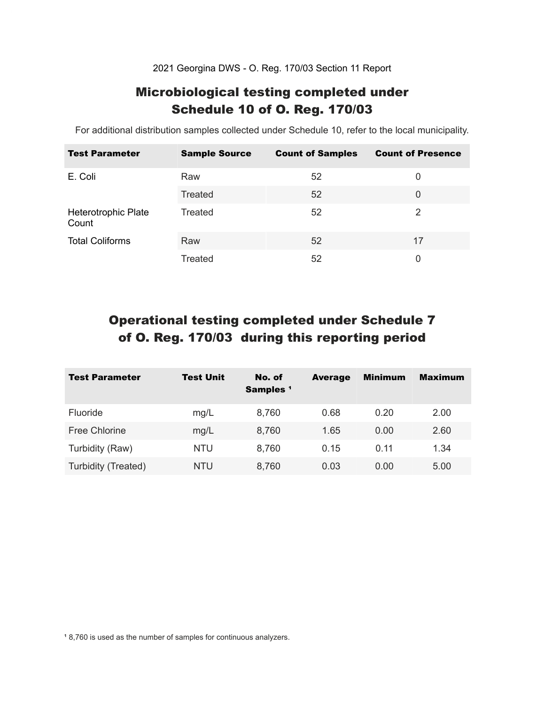2021 Georgina DWS - O. Reg. 170/03 Section 11 Report

### Microbiological testing completed under Schedule 10 of O. Reg. 170/03

For additional distribution samples collected under Schedule 10, refer to the local municipality.

| <b>Test Parameter</b>        | <b>Sample Source</b> | <b>Count of Samples</b> | <b>Count of Presence</b> |
|------------------------------|----------------------|-------------------------|--------------------------|
| E. Coli                      | Raw                  | 52                      | 0                        |
|                              | Treated              | 52                      | 0                        |
| Heterotrophic Plate<br>Count | Treated              | 52                      | 2                        |
| <b>Total Coliforms</b>       | Raw                  | 52                      | 17                       |
|                              | Treated              | 52                      | 0                        |

## Operational testing completed under Schedule 7 of O. Reg. 170/03 during this reporting period

| <b>Test Parameter</b> | <b>Test Unit</b> | No. of<br>Samples <sup>1</sup> | <b>Average</b> | <b>Minimum</b> | <b>Maximum</b> |
|-----------------------|------------------|--------------------------------|----------------|----------------|----------------|
| <b>Fluoride</b>       | mg/L             | 8,760                          | 0.68           | 0.20           | 2.00           |
| Free Chlorine         | mg/L             | 8,760                          | 1.65           | 0.00           | 2.60           |
| Turbidity (Raw)       | <b>NTU</b>       | 8,760                          | 0.15           | 0.11           | 1.34           |
| Turbidity (Treated)   | <b>NTU</b>       | 8,760                          | 0.03           | 0.00           | 5.00           |

<sup>1</sup> 8,760 is used as the number of samples for continuous analyzers.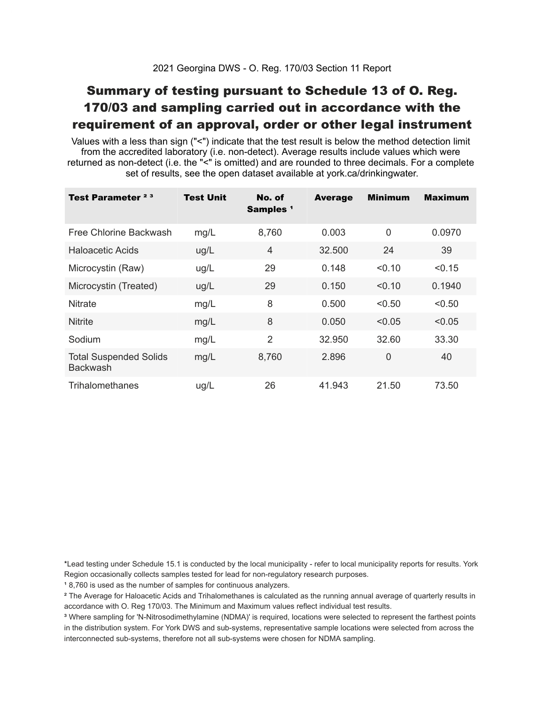### Summary of testing pursuant to Schedule 13 of O. Reg. 170/03 and sampling carried out in accordance with the requirement of an approval, order or other legal instrument

 Values with a less than sign ("<") indicate that the test result is below the method detection limit from the accredited laboratory (i.e. non-detect). Average results include values which were returned as non-detect (i.e. the "<" is omitted) and are rounded to three decimals. For a complete set of results, see the open dataset available at york.ca/drinkingwater.

| Test Parameter <sup>23</sup>                     | Test Unit | No. of<br>Samples <sup>1</sup> | <b>Average</b> | <b>Minimum</b> | <b>Maximum</b> |
|--------------------------------------------------|-----------|--------------------------------|----------------|----------------|----------------|
| Free Chlorine Backwash                           | mg/L      | 8,760                          | 0.003          | $\overline{0}$ | 0.0970         |
| Haloacetic Acids                                 | ug/L      | $\overline{4}$                 | 32.500         | 24             | 39             |
| Microcystin (Raw)                                | ug/L      | 29                             | 0.148          | < 0.10         | < 0.15         |
| Microcystin (Treated)                            | ug/L      | 29                             | 0.150          | < 0.10         | 0.1940         |
| <b>Nitrate</b>                                   | mg/L      | 8                              | 0.500          | < 0.50         | < 0.50         |
| <b>Nitrite</b>                                   | mg/L      | 8                              | 0.050          | < 0.05         | < 0.05         |
| Sodium                                           | mg/L      | $\overline{2}$                 | 32.950         | 32.60          | 33.30          |
| <b>Total Suspended Solids</b><br><b>Backwash</b> | mg/L      | 8,760                          | 2.896          | $\overline{0}$ | 40             |
| Trihalomethanes                                  | ug/L      | 26                             | 41.943         | 21.50          | 73.50          |

 \*Lead testing under Schedule 15.1 is conducted by the local municipality - refer to local municipality reports for results. York Region occasionally collects samples tested for lead for non-regulatory research purposes.

<sup>1</sup>8,760 is used as the number of samples for continuous analyzers.

 $\mathrm{^2}$  The Average for Haloacetic Acids and Trihalomethanes is calculated as the running annual average of quarterly results in accordance with O. Reg 170/03. The Minimum and Maximum values reflect individual test results.

<sup>3</sup> Where sampling for 'N-Nitrosodimethylamine (NDMA)' is required, locations were selected to represent the farthest points in the distribution system. For York DWS and sub-systems, representative sample locations were selected from across the interconnected sub-systems, therefore not all sub-systems were chosen for NDMA sampling.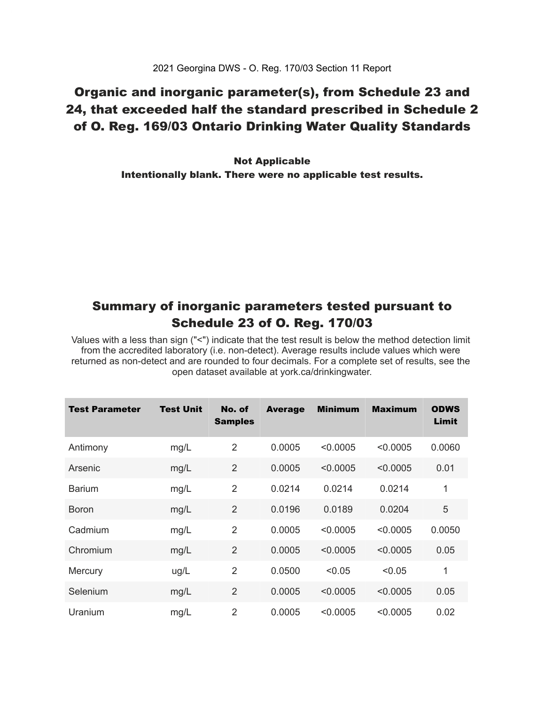### Organic and inorganic parameter(s), from Schedule 23 and 24, that exceeded half the standard prescribed in Schedule 2 of O. Reg. 169/03 Ontario Drinking Water Quality Standards

 Intentionally blank. There were no applicable test results. Not Applicable

### Summary of inorganic parameters tested pursuant to Schedule 23 of O. Reg. 170/03

 Values with a less than sign ("<") indicate that the test result is below the method detection limit from the accredited laboratory (i.e. non-detect). Average results include values which were returned as non-detect and are rounded to four decimals. For a complete set of results, see the open dataset available at york.ca/drinkingwater.

| Test Parameter | <b>Test Unit</b> | No. of<br><b>Samples</b> | <b>Average</b> | <b>Minimum</b> | <b>Maximum</b> | <b>ODWS</b><br>Limit |
|----------------|------------------|--------------------------|----------------|----------------|----------------|----------------------|
| Antimony       | mg/L             | $\overline{2}$           | 0.0005         | < 0.0005       | < 0.0005       | 0.0060               |
| Arsenic        | mg/L             | $\overline{2}$           | 0.0005         | < 0.0005       | < 0.0005       | 0.01                 |
| <b>Barium</b>  | mg/L             | $\overline{2}$           | 0.0214         | 0.0214         | 0.0214         | 1                    |
| <b>Boron</b>   | mg/L             | $\overline{2}$           | 0.0196         | 0.0189         | 0.0204         | 5                    |
| Cadmium        | mg/L             | $\overline{2}$           | 0.0005         | < 0.0005       | < 0.0005       | 0.0050               |
| Chromium       | mg/L             | $\overline{2}$           | 0.0005         | < 0.0005       | < 0.0005       | 0.05                 |
| Mercury        | ug/L             | 2                        | 0.0500         | < 0.05         | < 0.05         | 1                    |
| Selenium       | mg/L             | $\overline{2}$           | 0.0005         | < 0.0005       | < 0.0005       | 0.05                 |
| Uranium        | mg/L             | $\overline{2}$           | 0.0005         | < 0.0005       | < 0.0005       | 0.02                 |